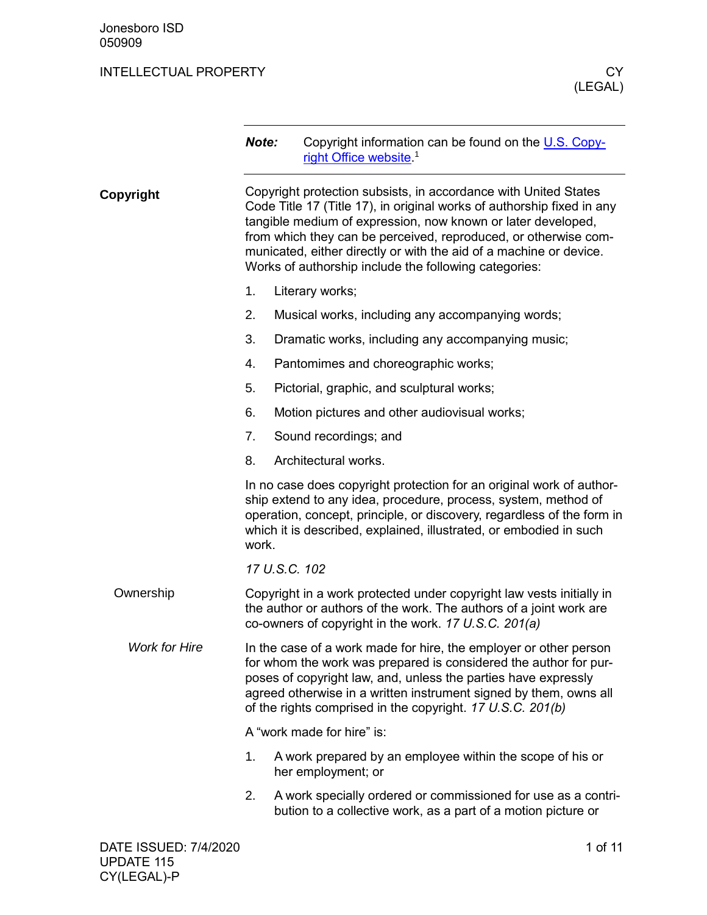|               | Note:                                                                                                                                                                                                                                                                                                                                      | Copyright information can be found on the U.S. Copy-<br>right Office website <sup>1</sup>                                                                                                                                                                                                                                                                                                                   |  |  |
|---------------|--------------------------------------------------------------------------------------------------------------------------------------------------------------------------------------------------------------------------------------------------------------------------------------------------------------------------------------------|-------------------------------------------------------------------------------------------------------------------------------------------------------------------------------------------------------------------------------------------------------------------------------------------------------------------------------------------------------------------------------------------------------------|--|--|
| Copyright     |                                                                                                                                                                                                                                                                                                                                            | Copyright protection subsists, in accordance with United States<br>Code Title 17 (Title 17), in original works of authorship fixed in any<br>tangible medium of expression, now known or later developed,<br>from which they can be perceived, reproduced, or otherwise com-<br>municated, either directly or with the aid of a machine or device.<br>Works of authorship include the following categories: |  |  |
|               | 1.                                                                                                                                                                                                                                                                                                                                         | Literary works;                                                                                                                                                                                                                                                                                                                                                                                             |  |  |
|               | 2.                                                                                                                                                                                                                                                                                                                                         | Musical works, including any accompanying words;                                                                                                                                                                                                                                                                                                                                                            |  |  |
|               | 3.                                                                                                                                                                                                                                                                                                                                         | Dramatic works, including any accompanying music;                                                                                                                                                                                                                                                                                                                                                           |  |  |
|               | 4.                                                                                                                                                                                                                                                                                                                                         | Pantomimes and choreographic works;                                                                                                                                                                                                                                                                                                                                                                         |  |  |
|               | 5.                                                                                                                                                                                                                                                                                                                                         | Pictorial, graphic, and sculptural works;                                                                                                                                                                                                                                                                                                                                                                   |  |  |
|               | 6.                                                                                                                                                                                                                                                                                                                                         | Motion pictures and other audiovisual works;                                                                                                                                                                                                                                                                                                                                                                |  |  |
|               | 7.                                                                                                                                                                                                                                                                                                                                         | Sound recordings; and                                                                                                                                                                                                                                                                                                                                                                                       |  |  |
|               | 8.                                                                                                                                                                                                                                                                                                                                         | Architectural works.                                                                                                                                                                                                                                                                                                                                                                                        |  |  |
|               | In no case does copyright protection for an original work of author-<br>ship extend to any idea, procedure, process, system, method of<br>operation, concept, principle, or discovery, regardless of the form in<br>which it is described, explained, illustrated, or embodied in such<br>work.                                            |                                                                                                                                                                                                                                                                                                                                                                                                             |  |  |
|               |                                                                                                                                                                                                                                                                                                                                            | 17 U.S.C. 102                                                                                                                                                                                                                                                                                                                                                                                               |  |  |
| Ownership     | Copyright in a work protected under copyright law vests initially in<br>the author or authors of the work. The authors of a joint work are<br>co-owners of copyright in the work. 17 U.S.C. 201(a)                                                                                                                                         |                                                                                                                                                                                                                                                                                                                                                                                                             |  |  |
| Work for Hire | In the case of a work made for hire, the employer or other person<br>for whom the work was prepared is considered the author for pur-<br>poses of copyright law, and, unless the parties have expressly<br>agreed otherwise in a written instrument signed by them, owns all<br>of the rights comprised in the copyright. 17 U.S.C. 201(b) |                                                                                                                                                                                                                                                                                                                                                                                                             |  |  |
|               |                                                                                                                                                                                                                                                                                                                                            | A "work made for hire" is:                                                                                                                                                                                                                                                                                                                                                                                  |  |  |
|               | 1.                                                                                                                                                                                                                                                                                                                                         | A work prepared by an employee within the scope of his or<br>her employment; or                                                                                                                                                                                                                                                                                                                             |  |  |
|               | 2.                                                                                                                                                                                                                                                                                                                                         | A work specially ordered or commissioned for use as a contri-<br>bution to a collective work, as a part of a motion picture or                                                                                                                                                                                                                                                                              |  |  |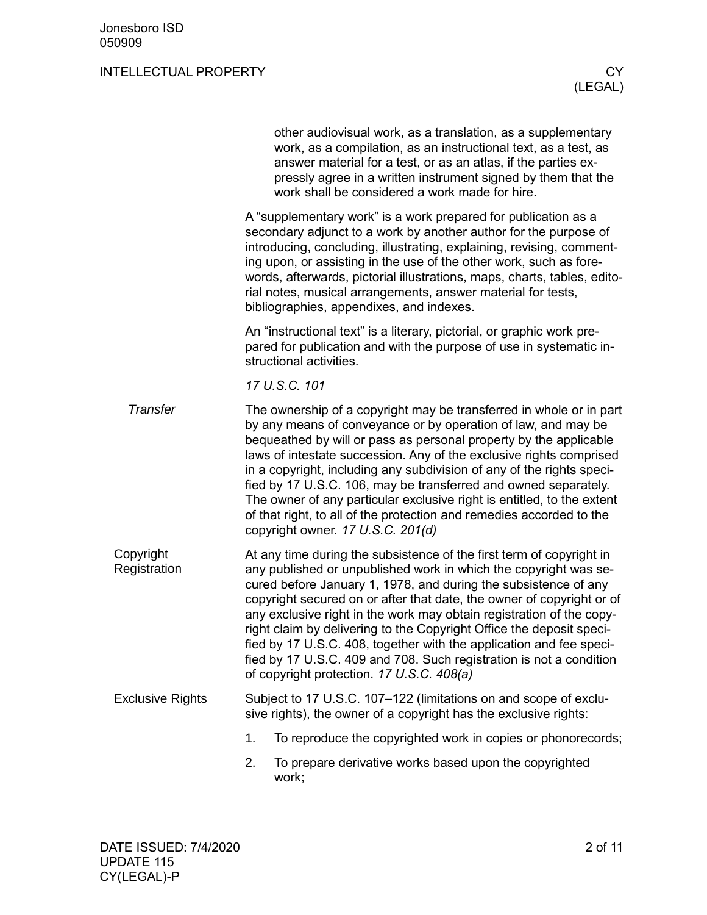|                           | other audiovisual work, as a translation, as a supplementary<br>work, as a compilation, as an instructional text, as a test, as<br>answer material for a test, or as an atlas, if the parties ex-<br>pressly agree in a written instrument signed by them that the<br>work shall be considered a work made for hire.                                                                                                                                                                                                                                                                                                            |  |  |
|---------------------------|---------------------------------------------------------------------------------------------------------------------------------------------------------------------------------------------------------------------------------------------------------------------------------------------------------------------------------------------------------------------------------------------------------------------------------------------------------------------------------------------------------------------------------------------------------------------------------------------------------------------------------|--|--|
|                           | A "supplementary work" is a work prepared for publication as a<br>secondary adjunct to a work by another author for the purpose of<br>introducing, concluding, illustrating, explaining, revising, comment-<br>ing upon, or assisting in the use of the other work, such as fore-<br>words, afterwards, pictorial illustrations, maps, charts, tables, edito-<br>rial notes, musical arrangements, answer material for tests,<br>bibliographies, appendixes, and indexes.                                                                                                                                                       |  |  |
|                           | An "instructional text" is a literary, pictorial, or graphic work pre-<br>pared for publication and with the purpose of use in systematic in-<br>structional activities.                                                                                                                                                                                                                                                                                                                                                                                                                                                        |  |  |
|                           | 17 U.S.C. 101                                                                                                                                                                                                                                                                                                                                                                                                                                                                                                                                                                                                                   |  |  |
| <b>Transfer</b>           | The ownership of a copyright may be transferred in whole or in part<br>by any means of conveyance or by operation of law, and may be<br>bequeathed by will or pass as personal property by the applicable<br>laws of intestate succession. Any of the exclusive rights comprised<br>in a copyright, including any subdivision of any of the rights speci-<br>fied by 17 U.S.C. 106, may be transferred and owned separately.<br>The owner of any particular exclusive right is entitled, to the extent<br>of that right, to all of the protection and remedies accorded to the<br>copyright owner. 17 U.S.C. 201(d)             |  |  |
| Copyright<br>Registration | At any time during the subsistence of the first term of copyright in<br>any published or unpublished work in which the copyright was se-<br>cured before January 1, 1978, and during the subsistence of any<br>copyright secured on or after that date, the owner of copyright or of<br>any exclusive right in the work may obtain registration of the copy-<br>right claim by delivering to the Copyright Office the deposit speci-<br>fied by 17 U.S.C. 408, together with the application and fee speci-<br>fied by 17 U.S.C. 409 and 708. Such registration is not a condition<br>of copyright protection. 17 U.S.C. 408(a) |  |  |
| <b>Exclusive Rights</b>   | Subject to 17 U.S.C. 107-122 (limitations on and scope of exclu-<br>sive rights), the owner of a copyright has the exclusive rights:                                                                                                                                                                                                                                                                                                                                                                                                                                                                                            |  |  |
|                           | To reproduce the copyrighted work in copies or phonorecords;<br>1.                                                                                                                                                                                                                                                                                                                                                                                                                                                                                                                                                              |  |  |
|                           | 2.<br>To prepare derivative works based upon the copyrighted<br>work;                                                                                                                                                                                                                                                                                                                                                                                                                                                                                                                                                           |  |  |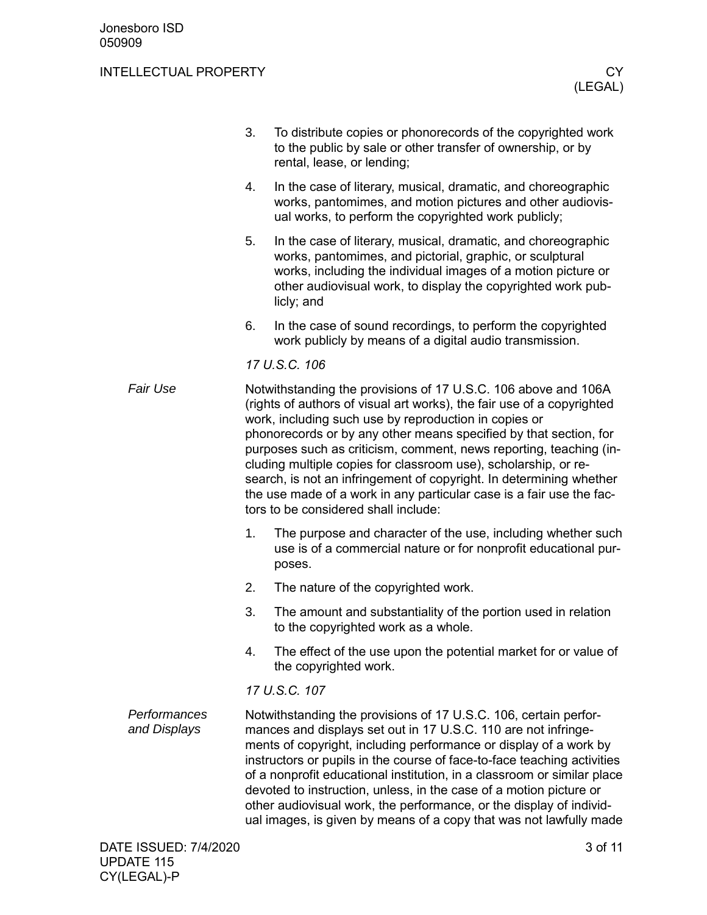|                              | 3.            | To distribute copies or phonorecords of the copyrighted work<br>to the public by sale or other transfer of ownership, or by<br>rental, lease, or lending;                                                                                                                                                                                                                                                                                                                                                                                                                                              |
|------------------------------|---------------|--------------------------------------------------------------------------------------------------------------------------------------------------------------------------------------------------------------------------------------------------------------------------------------------------------------------------------------------------------------------------------------------------------------------------------------------------------------------------------------------------------------------------------------------------------------------------------------------------------|
|                              | 4.            | In the case of literary, musical, dramatic, and choreographic<br>works, pantomimes, and motion pictures and other audiovis-<br>ual works, to perform the copyrighted work publicly;                                                                                                                                                                                                                                                                                                                                                                                                                    |
|                              | 5.            | In the case of literary, musical, dramatic, and choreographic<br>works, pantomimes, and pictorial, graphic, or sculptural<br>works, including the individual images of a motion picture or<br>other audiovisual work, to display the copyrighted work pub-<br>licly; and                                                                                                                                                                                                                                                                                                                               |
|                              | 6.            | In the case of sound recordings, to perform the copyrighted<br>work publicly by means of a digital audio transmission.                                                                                                                                                                                                                                                                                                                                                                                                                                                                                 |
|                              |               | 17 U.S.C. 106                                                                                                                                                                                                                                                                                                                                                                                                                                                                                                                                                                                          |
| Fair Use                     |               | Notwithstanding the provisions of 17 U.S.C. 106 above and 106A<br>(rights of authors of visual art works), the fair use of a copyrighted<br>work, including such use by reproduction in copies or<br>phonorecords or by any other means specified by that section, for<br>purposes such as criticism, comment, news reporting, teaching (in-<br>cluding multiple copies for classroom use), scholarship, or re-<br>search, is not an infringement of copyright. In determining whether<br>the use made of a work in any particular case is a fair use the fac-<br>tors to be considered shall include: |
|                              | 1.            | The purpose and character of the use, including whether such<br>use is of a commercial nature or for nonprofit educational pur-<br>poses.                                                                                                                                                                                                                                                                                                                                                                                                                                                              |
|                              | 2.            | The nature of the copyrighted work.                                                                                                                                                                                                                                                                                                                                                                                                                                                                                                                                                                    |
|                              | 3.            | The amount and substantiality of the portion used in relation<br>to the copyrighted work as a whole.                                                                                                                                                                                                                                                                                                                                                                                                                                                                                                   |
|                              | 4.            | The effect of the use upon the potential market for or value of<br>the copyrighted work.                                                                                                                                                                                                                                                                                                                                                                                                                                                                                                               |
|                              | 17 U.S.C. 107 |                                                                                                                                                                                                                                                                                                                                                                                                                                                                                                                                                                                                        |
| Performances<br>and Displays |               | Notwithstanding the provisions of 17 U.S.C. 106, certain perfor-<br>mances and displays set out in 17 U.S.C. 110 are not infringe-<br>ments of copyright, including performance or display of a work by<br>instructors or pupils in the course of face-to-face teaching activities<br>of a nonprofit educational institution, in a classroom or similar place<br>devoted to instruction, unless, in the case of a motion picture or<br>other audiovisual work, the performance, or the display of individ-<br>ual images, is given by means of a copy that was not lawfully made                       |
| DATE ISSUED: 7/4/2020        |               | 3 of 11                                                                                                                                                                                                                                                                                                                                                                                                                                                                                                                                                                                                |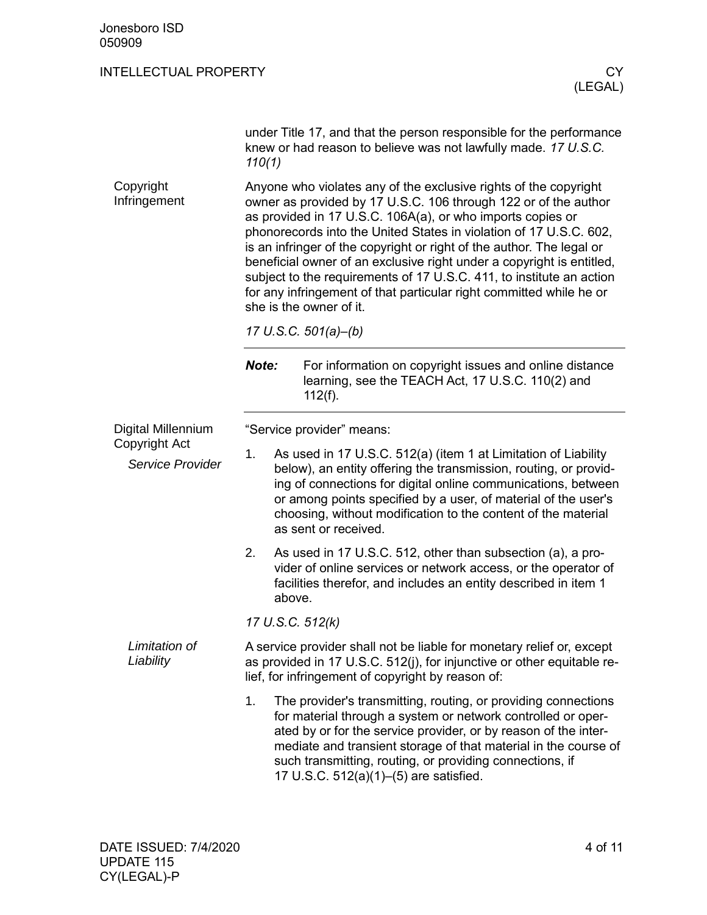| Jonesboro ISD<br>050909           |                                                                                                                                                                                                                                                                                                                                                                                                                                                                                                                                                                                                     |                                                                                                                                                                                                                                                                                                                                                                            |  |  |
|-----------------------------------|-----------------------------------------------------------------------------------------------------------------------------------------------------------------------------------------------------------------------------------------------------------------------------------------------------------------------------------------------------------------------------------------------------------------------------------------------------------------------------------------------------------------------------------------------------------------------------------------------------|----------------------------------------------------------------------------------------------------------------------------------------------------------------------------------------------------------------------------------------------------------------------------------------------------------------------------------------------------------------------------|--|--|
| <b>INTELLECTUAL PROPERTY</b>      |                                                                                                                                                                                                                                                                                                                                                                                                                                                                                                                                                                                                     | СY<br>(LEGAL)                                                                                                                                                                                                                                                                                                                                                              |  |  |
|                                   | 110(1)                                                                                                                                                                                                                                                                                                                                                                                                                                                                                                                                                                                              | under Title 17, and that the person responsible for the performance<br>knew or had reason to believe was not lawfully made. 17 U.S.C.                                                                                                                                                                                                                                      |  |  |
| Copyright<br>Infringement         | Anyone who violates any of the exclusive rights of the copyright<br>owner as provided by 17 U.S.C. 106 through 122 or of the author<br>as provided in 17 U.S.C. 106A(a), or who imports copies or<br>phonorecords into the United States in violation of 17 U.S.C. 602,<br>is an infringer of the copyright or right of the author. The legal or<br>beneficial owner of an exclusive right under a copyright is entitled,<br>subject to the requirements of 17 U.S.C. 411, to institute an action<br>for any infringement of that particular right committed while he or<br>she is the owner of it. |                                                                                                                                                                                                                                                                                                                                                                            |  |  |
|                                   |                                                                                                                                                                                                                                                                                                                                                                                                                                                                                                                                                                                                     | 17 U.S.C. 501(a)-(b)                                                                                                                                                                                                                                                                                                                                                       |  |  |
|                                   | Note:                                                                                                                                                                                                                                                                                                                                                                                                                                                                                                                                                                                               | For information on copyright issues and online distance<br>learning, see the TEACH Act, 17 U.S.C. 110(2) and<br>$112(f)$ .                                                                                                                                                                                                                                                 |  |  |
| Digital Millennium                |                                                                                                                                                                                                                                                                                                                                                                                                                                                                                                                                                                                                     | "Service provider" means:                                                                                                                                                                                                                                                                                                                                                  |  |  |
| Copyright Act<br>Service Provider | 1.                                                                                                                                                                                                                                                                                                                                                                                                                                                                                                                                                                                                  | As used in 17 U.S.C. 512(a) (item 1 at Limitation of Liability<br>below), an entity offering the transmission, routing, or provid-<br>ing of connections for digital online communications, between<br>or among points specified by a user, of material of the user's<br>choosing, without modification to the content of the material<br>as sent or received              |  |  |
|                                   | 2.                                                                                                                                                                                                                                                                                                                                                                                                                                                                                                                                                                                                  | As used in 17 U.S.C. 512, other than subsection (a), a pro-<br>vider of online services or network access, or the operator of<br>facilities therefor, and includes an entity described in item 1<br>above.                                                                                                                                                                 |  |  |
|                                   |                                                                                                                                                                                                                                                                                                                                                                                                                                                                                                                                                                                                     | 17 U.S.C. 512(k)                                                                                                                                                                                                                                                                                                                                                           |  |  |
| Limitation of<br>Liability        |                                                                                                                                                                                                                                                                                                                                                                                                                                                                                                                                                                                                     | A service provider shall not be liable for monetary relief or, except<br>as provided in 17 U.S.C. 512(j), for injunctive or other equitable re-<br>lief, for infringement of copyright by reason of:                                                                                                                                                                       |  |  |
|                                   | 1.                                                                                                                                                                                                                                                                                                                                                                                                                                                                                                                                                                                                  | The provider's transmitting, routing, or providing connections<br>for material through a system or network controlled or oper-<br>ated by or for the service provider, or by reason of the inter-<br>mediate and transient storage of that material in the course of<br>such transmitting, routing, or providing connections, if<br>17 U.S.C. 512(a)(1)–(5) are satisfied. |  |  |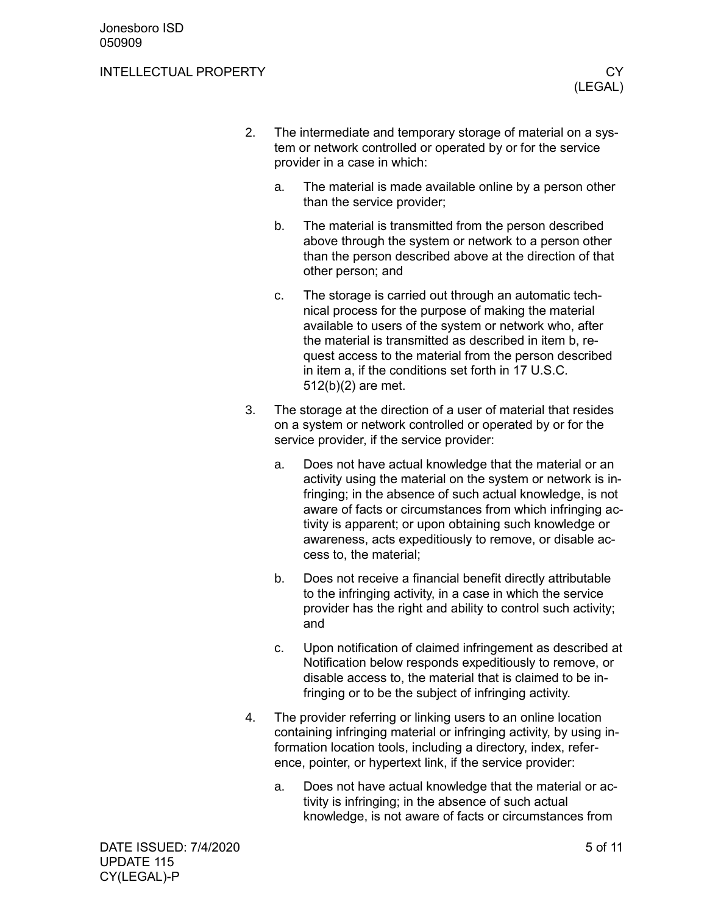- 2. The intermediate and temporary storage of material on a system or network controlled or operated by or for the service provider in a case in which:
	- a. The material is made available online by a person other than the service provider;
	- b. The material is transmitted from the person described above through the system or network to a person other than the person described above at the direction of that other person; and
	- c. The storage is carried out through an automatic technical process for the purpose of making the material available to users of the system or network who, after the material is transmitted as described in item b, request access to the material from the person described in item a, if the conditions set forth in 17 U.S.C. 512(b)(2) are met.
- 3. The storage at the direction of a user of material that resides on a system or network controlled or operated by or for the service provider, if the service provider:
	- a. Does not have actual knowledge that the material or an activity using the material on the system or network is infringing; in the absence of such actual knowledge, is not aware of facts or circumstances from which infringing activity is apparent; or upon obtaining such knowledge or awareness, acts expeditiously to remove, or disable access to, the material;
	- b. Does not receive a financial benefit directly attributable to the infringing activity, in a case in which the service provider has the right and ability to control such activity; and
	- c. Upon notification of claimed infringement as described at Notification below responds expeditiously to remove, or disable access to, the material that is claimed to be infringing or to be the subject of infringing activity.
- 4. The provider referring or linking users to an online location containing infringing material or infringing activity, by using information location tools, including a directory, index, reference, pointer, or hypertext link, if the service provider:
	- a. Does not have actual knowledge that the material or activity is infringing; in the absence of such actual knowledge, is not aware of facts or circumstances from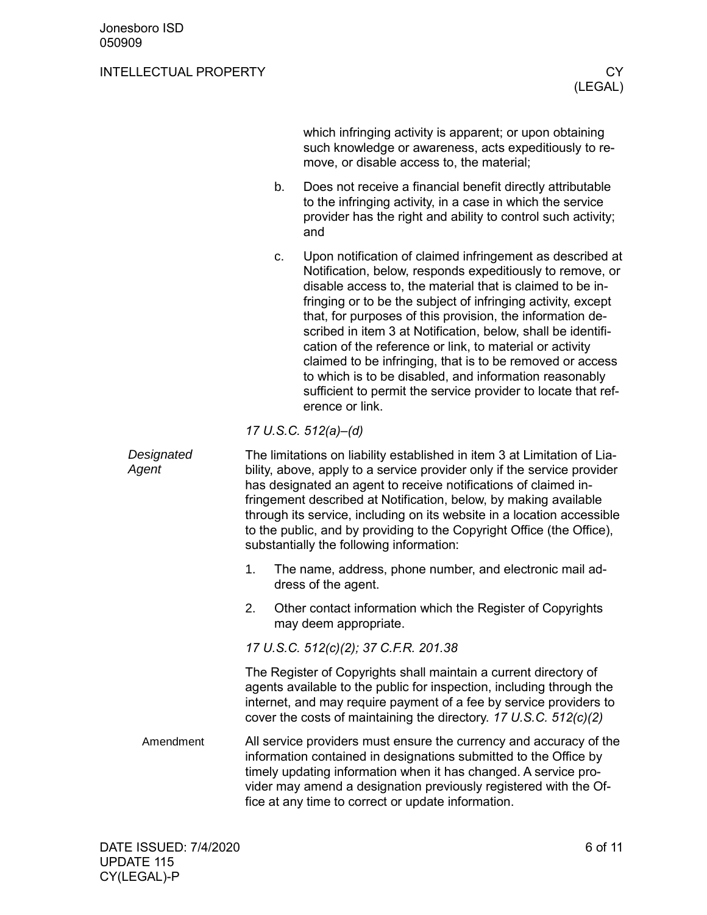|                     |                                                                                                                                                                                                                                                                                                                                                                                                                                                                                           | which infringing activity is apparent; or upon obtaining<br>such knowledge or awareness, acts expeditiously to re-<br>move, or disable access to, the material;                                                                                                                                                                                                                                                                                                                                                                                                                                                                                         |  |
|---------------------|-------------------------------------------------------------------------------------------------------------------------------------------------------------------------------------------------------------------------------------------------------------------------------------------------------------------------------------------------------------------------------------------------------------------------------------------------------------------------------------------|---------------------------------------------------------------------------------------------------------------------------------------------------------------------------------------------------------------------------------------------------------------------------------------------------------------------------------------------------------------------------------------------------------------------------------------------------------------------------------------------------------------------------------------------------------------------------------------------------------------------------------------------------------|--|
|                     | b.                                                                                                                                                                                                                                                                                                                                                                                                                                                                                        | Does not receive a financial benefit directly attributable<br>to the infringing activity, in a case in which the service<br>provider has the right and ability to control such activity;<br>and                                                                                                                                                                                                                                                                                                                                                                                                                                                         |  |
|                     | c.                                                                                                                                                                                                                                                                                                                                                                                                                                                                                        | Upon notification of claimed infringement as described at<br>Notification, below, responds expeditiously to remove, or<br>disable access to, the material that is claimed to be in-<br>fringing or to be the subject of infringing activity, except<br>that, for purposes of this provision, the information de-<br>scribed in item 3 at Notification, below, shall be identifi-<br>cation of the reference or link, to material or activity<br>claimed to be infringing, that is to be removed or access<br>to which is to be disabled, and information reasonably<br>sufficient to permit the service provider to locate that ref-<br>erence or link. |  |
|                     |                                                                                                                                                                                                                                                                                                                                                                                                                                                                                           | 17 U.S.C. 512(a)-(d)                                                                                                                                                                                                                                                                                                                                                                                                                                                                                                                                                                                                                                    |  |
| Designated<br>Agent | The limitations on liability established in item 3 at Limitation of Lia-<br>bility, above, apply to a service provider only if the service provider<br>has designated an agent to receive notifications of claimed in-<br>fringement described at Notification, below, by making available<br>through its service, including on its website in a location accessible<br>to the public, and by providing to the Copyright Office (the Office),<br>substantially the following information: |                                                                                                                                                                                                                                                                                                                                                                                                                                                                                                                                                                                                                                                         |  |
|                     | 1.                                                                                                                                                                                                                                                                                                                                                                                                                                                                                        | The name, address, phone number, and electronic mail ad-<br>dress of the agent.                                                                                                                                                                                                                                                                                                                                                                                                                                                                                                                                                                         |  |
|                     | 2.                                                                                                                                                                                                                                                                                                                                                                                                                                                                                        | Other contact information which the Register of Copyrights<br>may deem appropriate.                                                                                                                                                                                                                                                                                                                                                                                                                                                                                                                                                                     |  |
|                     |                                                                                                                                                                                                                                                                                                                                                                                                                                                                                           | 17 U.S.C. 512(c)(2); 37 C.F.R. 201.38                                                                                                                                                                                                                                                                                                                                                                                                                                                                                                                                                                                                                   |  |
|                     |                                                                                                                                                                                                                                                                                                                                                                                                                                                                                           | The Register of Copyrights shall maintain a current directory of<br>agents available to the public for inspection, including through the<br>internet, and may require payment of a fee by service providers to<br>cover the costs of maintaining the directory. 17 U.S.C. 512(c)(2)                                                                                                                                                                                                                                                                                                                                                                     |  |
| Amendment           |                                                                                                                                                                                                                                                                                                                                                                                                                                                                                           | All service providers must ensure the currency and accuracy of the<br>information contained in designations submitted to the Office by<br>timely updating information when it has changed. A service pro-<br>vider may amend a designation previously registered with the Of-<br>fice at any time to correct or update information.                                                                                                                                                                                                                                                                                                                     |  |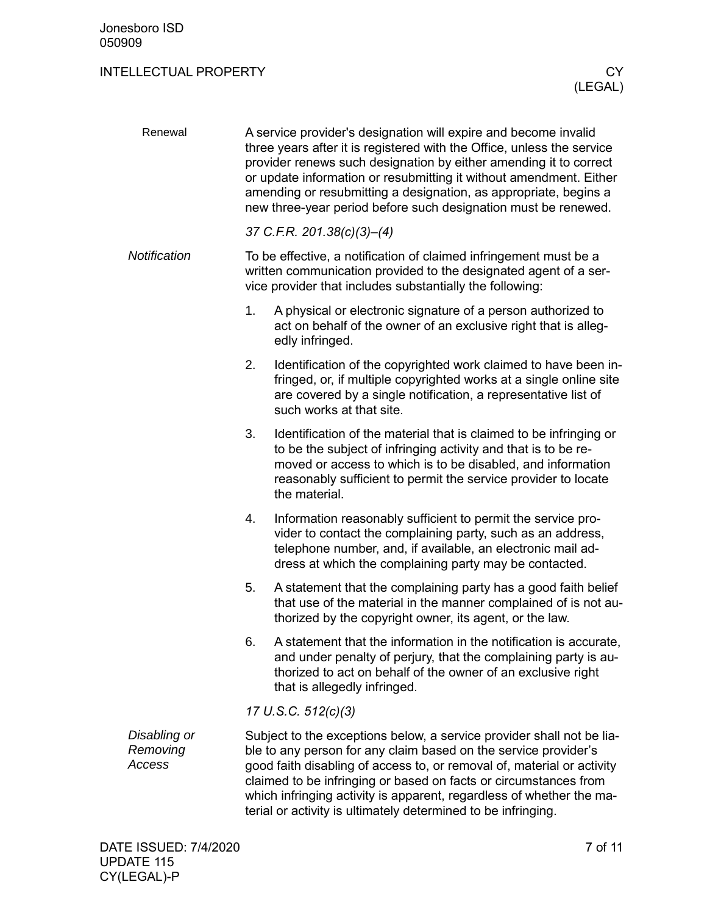| Renewal                            | A service provider's designation will expire and become invalid<br>three years after it is registered with the Office, unless the service<br>provider renews such designation by either amending it to correct<br>or update information or resubmitting it without amendment. Either<br>amending or resubmitting a designation, as appropriate, begins a<br>new three-year period before such designation must be renewed. |  |  |  |  |
|------------------------------------|----------------------------------------------------------------------------------------------------------------------------------------------------------------------------------------------------------------------------------------------------------------------------------------------------------------------------------------------------------------------------------------------------------------------------|--|--|--|--|
|                                    | 37 C.F.R. 201.38(c)(3)-(4)                                                                                                                                                                                                                                                                                                                                                                                                 |  |  |  |  |
| Notification                       | To be effective, a notification of claimed infringement must be a<br>written communication provided to the designated agent of a ser-<br>vice provider that includes substantially the following:                                                                                                                                                                                                                          |  |  |  |  |
|                                    | 1.<br>A physical or electronic signature of a person authorized to<br>act on behalf of the owner of an exclusive right that is alleg-<br>edly infringed.                                                                                                                                                                                                                                                                   |  |  |  |  |
|                                    | 2.<br>Identification of the copyrighted work claimed to have been in-<br>fringed, or, if multiple copyrighted works at a single online site<br>are covered by a single notification, a representative list of<br>such works at that site.                                                                                                                                                                                  |  |  |  |  |
|                                    | 3.<br>Identification of the material that is claimed to be infringing or<br>to be the subject of infringing activity and that is to be re-<br>moved or access to which is to be disabled, and information<br>reasonably sufficient to permit the service provider to locate<br>the material.                                                                                                                               |  |  |  |  |
|                                    | 4.<br>Information reasonably sufficient to permit the service pro-<br>vider to contact the complaining party, such as an address,<br>telephone number, and, if available, an electronic mail ad-<br>dress at which the complaining party may be contacted.                                                                                                                                                                 |  |  |  |  |
|                                    | 5.<br>A statement that the complaining party has a good faith belief<br>that use of the material in the manner complained of is not au-<br>thorized by the copyright owner, its agent, or the law.                                                                                                                                                                                                                         |  |  |  |  |
|                                    | A statement that the information in the notification is accurate,<br>6.<br>and under penalty of perjury, that the complaining party is au-<br>thorized to act on behalf of the owner of an exclusive right<br>that is allegedly infringed.                                                                                                                                                                                 |  |  |  |  |
|                                    | 17 U.S.C. 512(c)(3)                                                                                                                                                                                                                                                                                                                                                                                                        |  |  |  |  |
| Disabling or<br>Removing<br>Access | Subject to the exceptions below, a service provider shall not be lia-<br>ble to any person for any claim based on the service provider's<br>good faith disabling of access to, or removal of, material or activity<br>claimed to be infringing or based on facts or circumstances from<br>which infringing activity is apparent, regardless of whether the ma-                                                             |  |  |  |  |

terial or activity is ultimately determined to be infringing.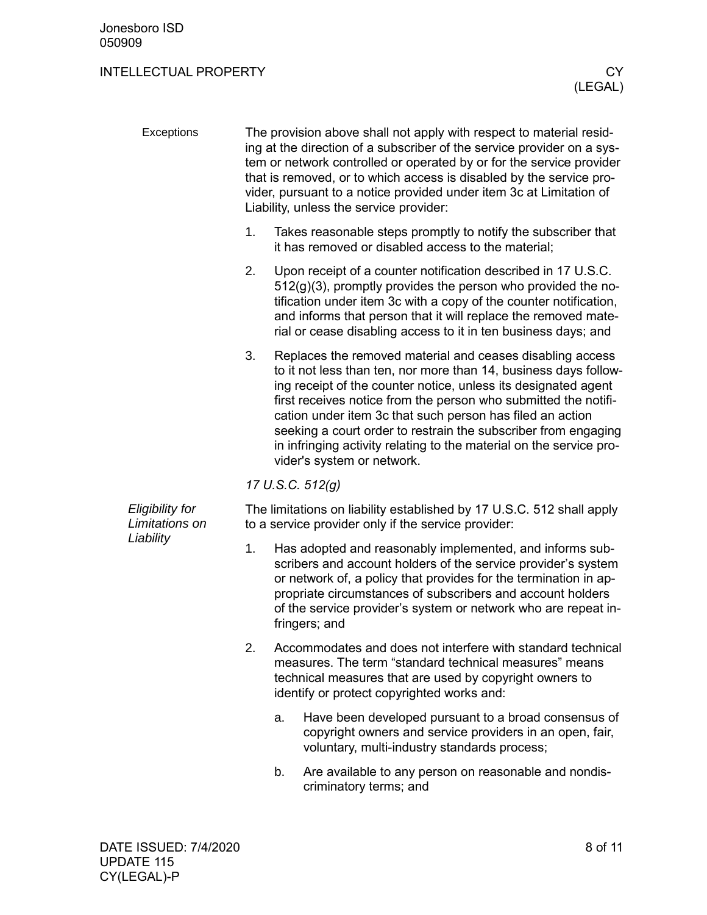| Exceptions                        | The provision above shall not apply with respect to material resid-<br>ing at the direction of a subscriber of the service provider on a sys-<br>tem or network controlled or operated by or for the service provider<br>that is removed, or to which access is disabled by the service pro-<br>vider, pursuant to a notice provided under item 3c at Limitation of<br>Liability, unless the service provider: |                                                                                                                                                                                                                                                                                                                                                |                                                                                                                                                                                                                                                                                                                                                                                                                                                                                                        |  |
|-----------------------------------|----------------------------------------------------------------------------------------------------------------------------------------------------------------------------------------------------------------------------------------------------------------------------------------------------------------------------------------------------------------------------------------------------------------|------------------------------------------------------------------------------------------------------------------------------------------------------------------------------------------------------------------------------------------------------------------------------------------------------------------------------------------------|--------------------------------------------------------------------------------------------------------------------------------------------------------------------------------------------------------------------------------------------------------------------------------------------------------------------------------------------------------------------------------------------------------------------------------------------------------------------------------------------------------|--|
|                                   | 1.                                                                                                                                                                                                                                                                                                                                                                                                             |                                                                                                                                                                                                                                                                                                                                                | Takes reasonable steps promptly to notify the subscriber that<br>it has removed or disabled access to the material;                                                                                                                                                                                                                                                                                                                                                                                    |  |
|                                   | 2.                                                                                                                                                                                                                                                                                                                                                                                                             |                                                                                                                                                                                                                                                                                                                                                | Upon receipt of a counter notification described in 17 U.S.C.<br>$512(g)(3)$ , promptly provides the person who provided the no-<br>tification under item 3c with a copy of the counter notification,<br>and informs that person that it will replace the removed mate-<br>rial or cease disabling access to it in ten business days; and                                                                                                                                                              |  |
|                                   | 3.                                                                                                                                                                                                                                                                                                                                                                                                             |                                                                                                                                                                                                                                                                                                                                                | Replaces the removed material and ceases disabling access<br>to it not less than ten, nor more than 14, business days follow-<br>ing receipt of the counter notice, unless its designated agent<br>first receives notice from the person who submitted the notifi-<br>cation under item 3c that such person has filed an action<br>seeking a court order to restrain the subscriber from engaging<br>in infringing activity relating to the material on the service pro-<br>vider's system or network. |  |
|                                   | 17 U.S.C. 512(g)                                                                                                                                                                                                                                                                                                                                                                                               |                                                                                                                                                                                                                                                                                                                                                |                                                                                                                                                                                                                                                                                                                                                                                                                                                                                                        |  |
| Eligibility for<br>Limitations on | The limitations on liability established by 17 U.S.C. 512 shall apply<br>to a service provider only if the service provider:                                                                                                                                                                                                                                                                                   |                                                                                                                                                                                                                                                                                                                                                |                                                                                                                                                                                                                                                                                                                                                                                                                                                                                                        |  |
| Liability                         | 1.                                                                                                                                                                                                                                                                                                                                                                                                             | Has adopted and reasonably implemented, and informs sub-<br>scribers and account holders of the service provider's system<br>or network of, a policy that provides for the termination in ap-<br>propriate circumstances of subscribers and account holders<br>of the service provider's system or network who are repeat in-<br>fringers; and |                                                                                                                                                                                                                                                                                                                                                                                                                                                                                                        |  |
|                                   | 2.                                                                                                                                                                                                                                                                                                                                                                                                             |                                                                                                                                                                                                                                                                                                                                                | Accommodates and does not interfere with standard technical<br>measures. The term "standard technical measures" means<br>technical measures that are used by copyright owners to<br>identify or protect copyrighted works and:                                                                                                                                                                                                                                                                         |  |
|                                   |                                                                                                                                                                                                                                                                                                                                                                                                                | a.                                                                                                                                                                                                                                                                                                                                             | Have been developed pursuant to a broad consensus of<br>copyright owners and service providers in an open, fair,<br>voluntary, multi-industry standards process;                                                                                                                                                                                                                                                                                                                                       |  |
|                                   |                                                                                                                                                                                                                                                                                                                                                                                                                | b.                                                                                                                                                                                                                                                                                                                                             | Are available to any person on reasonable and nondis-<br>criminatory terms; and                                                                                                                                                                                                                                                                                                                                                                                                                        |  |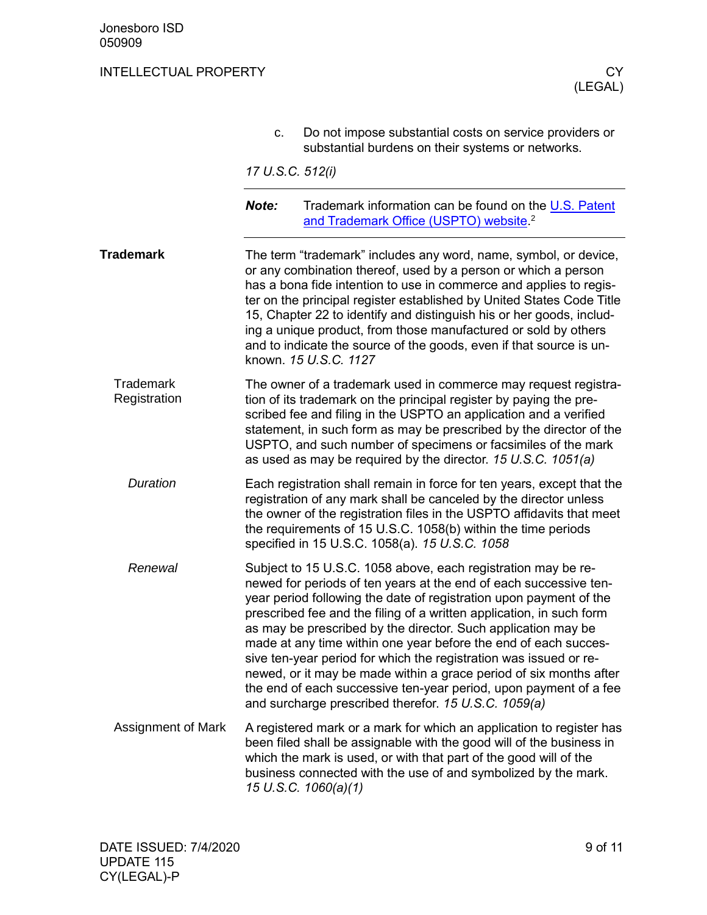# INTELLECTUAL PROPERTY EXAMPLE THE CYCLE INTELLECTUAL PROPERTY

|                                  | c.               | Do not impose substantial costs on service providers or<br>substantial burdens on their systems or networks.                                                                                                                                                                                                                                                                                                                                                                                                                                                                                                                                                                                 |
|----------------------------------|------------------|----------------------------------------------------------------------------------------------------------------------------------------------------------------------------------------------------------------------------------------------------------------------------------------------------------------------------------------------------------------------------------------------------------------------------------------------------------------------------------------------------------------------------------------------------------------------------------------------------------------------------------------------------------------------------------------------|
|                                  | 17 U.S.C. 512(i) |                                                                                                                                                                                                                                                                                                                                                                                                                                                                                                                                                                                                                                                                                              |
|                                  | Note:            | Trademark information can be found on the U.S. Patent<br>and Trademark Office (USPTO) website <sup>2</sup>                                                                                                                                                                                                                                                                                                                                                                                                                                                                                                                                                                                   |
| <b>Trademark</b>                 |                  | The term "trademark" includes any word, name, symbol, or device,<br>or any combination thereof, used by a person or which a person<br>has a bona fide intention to use in commerce and applies to regis-<br>ter on the principal register established by United States Code Title<br>15, Chapter 22 to identify and distinguish his or her goods, includ-<br>ing a unique product, from those manufactured or sold by others<br>and to indicate the source of the goods, even if that source is un-<br>known. 15 U.S.C. 1127                                                                                                                                                                 |
| <b>Trademark</b><br>Registration |                  | The owner of a trademark used in commerce may request registra-<br>tion of its trademark on the principal register by paying the pre-<br>scribed fee and filing in the USPTO an application and a verified<br>statement, in such form as may be prescribed by the director of the<br>USPTO, and such number of specimens or facsimiles of the mark<br>as used as may be required by the director. 15 U.S.C. 1051(a)                                                                                                                                                                                                                                                                          |
| <b>Duration</b>                  |                  | Each registration shall remain in force for ten years, except that the<br>registration of any mark shall be canceled by the director unless<br>the owner of the registration files in the USPTO affidavits that meet<br>the requirements of 15 U.S.C. 1058(b) within the time periods<br>specified in 15 U.S.C. 1058(a). 15 U.S.C. 1058                                                                                                                                                                                                                                                                                                                                                      |
| Renewal                          |                  | Subject to 15 U.S.C. 1058 above, each registration may be re-<br>newed for periods of ten years at the end of each successive ten-<br>year period following the date of registration upon payment of the<br>prescribed fee and the filing of a written application, in such form<br>as may be prescribed by the director. Such application may be<br>made at any time within one year before the end of each succes-<br>sive ten-year period for which the registration was issued or re-<br>newed, or it may be made within a grace period of six months after<br>the end of each successive ten-year period, upon payment of a fee<br>and surcharge prescribed therefor. 15 U.S.C. 1059(a) |
| Assignment of Mark               |                  | A registered mark or a mark for which an application to register has<br>been filed shall be assignable with the good will of the business in<br>which the mark is used, or with that part of the good will of the<br>business connected with the use of and symbolized by the mark.<br>15 U.S.C. 1060(a)(1)                                                                                                                                                                                                                                                                                                                                                                                  |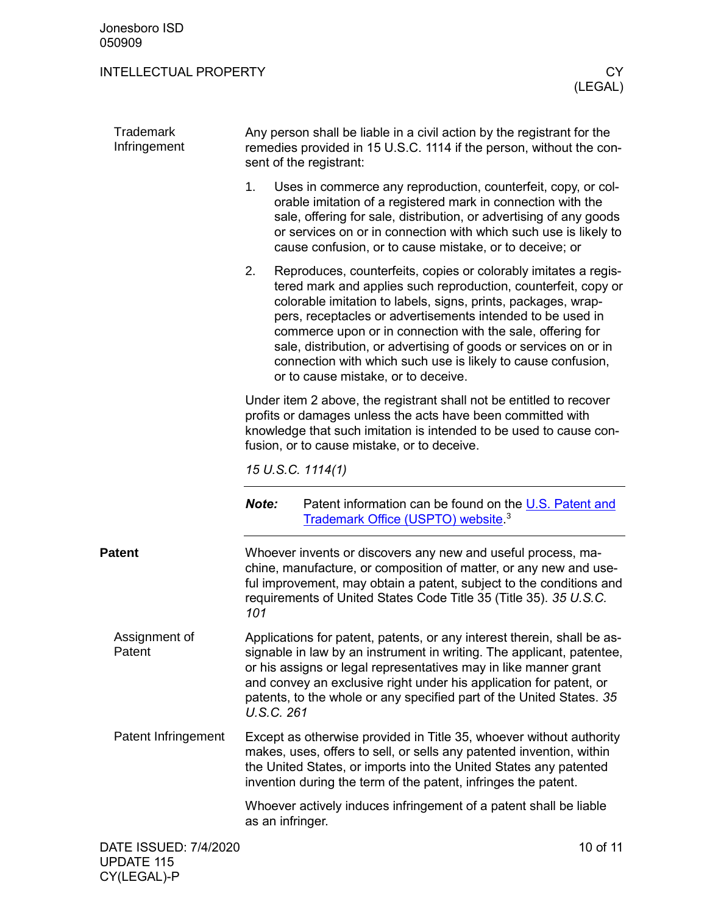CY(LEGAL)-P

| <b>Trademark</b><br>Infringement           | Any person shall be liable in a civil action by the registrant for the<br>remedies provided in 15 U.S.C. 1114 if the person, without the con-<br>sent of the registrant:                                                                                |                                                                                                                                                                                                                                                                                                                                                                                                                                                                                                           |          |  |  |
|--------------------------------------------|---------------------------------------------------------------------------------------------------------------------------------------------------------------------------------------------------------------------------------------------------------|-----------------------------------------------------------------------------------------------------------------------------------------------------------------------------------------------------------------------------------------------------------------------------------------------------------------------------------------------------------------------------------------------------------------------------------------------------------------------------------------------------------|----------|--|--|
|                                            | 1.                                                                                                                                                                                                                                                      | Uses in commerce any reproduction, counterfeit, copy, or col-<br>orable imitation of a registered mark in connection with the<br>sale, offering for sale, distribution, or advertising of any goods<br>or services on or in connection with which such use is likely to<br>cause confusion, or to cause mistake, or to deceive; or                                                                                                                                                                        |          |  |  |
|                                            | 2.                                                                                                                                                                                                                                                      | Reproduces, counterfeits, copies or colorably imitates a regis-<br>tered mark and applies such reproduction, counterfeit, copy or<br>colorable imitation to labels, signs, prints, packages, wrap-<br>pers, receptacles or advertisements intended to be used in<br>commerce upon or in connection with the sale, offering for<br>sale, distribution, or advertising of goods or services on or in<br>connection with which such use is likely to cause confusion,<br>or to cause mistake, or to deceive. |          |  |  |
|                                            | Under item 2 above, the registrant shall not be entitled to recover<br>profits or damages unless the acts have been committed with<br>knowledge that such imitation is intended to be used to cause con-<br>fusion, or to cause mistake, or to deceive. |                                                                                                                                                                                                                                                                                                                                                                                                                                                                                                           |          |  |  |
|                                            | 15 U.S.C. 1114(1)                                                                                                                                                                                                                                       |                                                                                                                                                                                                                                                                                                                                                                                                                                                                                                           |          |  |  |
|                                            | Note:                                                                                                                                                                                                                                                   | Patent information can be found on the U.S. Patent and<br>Trademark Office (USPTO) website. <sup>3</sup>                                                                                                                                                                                                                                                                                                                                                                                                  |          |  |  |
| <b>Patent</b>                              | 101                                                                                                                                                                                                                                                     | Whoever invents or discovers any new and useful process, ma-<br>chine, manufacture, or composition of matter, or any new and use-<br>ful improvement, may obtain a patent, subject to the conditions and<br>requirements of United States Code Title 35 (Title 35). 35 U.S.C.                                                                                                                                                                                                                             |          |  |  |
| Assignment of<br>Patent                    | U.S.C. 261                                                                                                                                                                                                                                              | Applications for patent, patents, or any interest therein, shall be as-<br>signable in law by an instrument in writing. The applicant, patentee,<br>or his assigns or legal representatives may in like manner grant<br>and convey an exclusive right under his application for patent, or<br>patents, to the whole or any specified part of the United States. 35                                                                                                                                        |          |  |  |
| Patent Infringement                        |                                                                                                                                                                                                                                                         | Except as otherwise provided in Title 35, whoever without authority<br>makes, uses, offers to sell, or sells any patented invention, within<br>the United States, or imports into the United States any patented<br>invention during the term of the patent, infringes the patent.                                                                                                                                                                                                                        |          |  |  |
|                                            | as an infringer.                                                                                                                                                                                                                                        | Whoever actively induces infringement of a patent shall be liable                                                                                                                                                                                                                                                                                                                                                                                                                                         |          |  |  |
| DATE ISSUED: 7/4/2020<br><b>UPDATE 115</b> |                                                                                                                                                                                                                                                         |                                                                                                                                                                                                                                                                                                                                                                                                                                                                                                           | 10 of 11 |  |  |